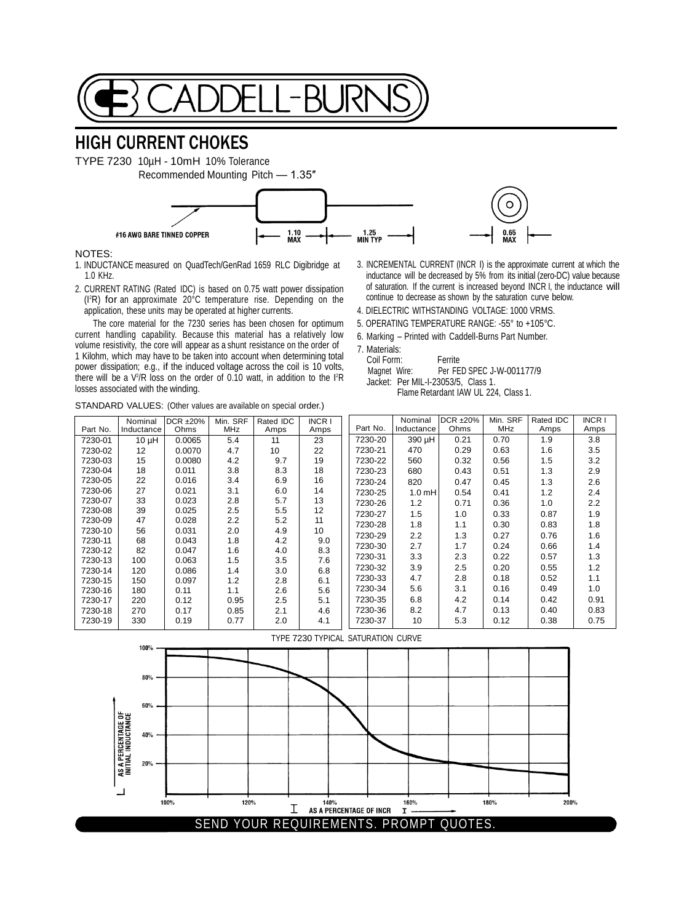

## HIGH CURRENT CHOKES

TYPE 7230 10µH - 10mH 10% Tolerance Recommended Mounting Pitch — 1.35″



## NOTES:

1. INDUCTANCE measured on QuadTech/GenRad 1659 RLC Digibridge at 1.0 KHz.

2. CURRENT RATING (Rated IDC) is based on 0.75 watt power dissipation (I<sup>2</sup>R) for an approximate 20°C temperature rise. Depending on the application, these units may be operated at higher currents.

The core material for the 7230 series has been chosen for optimum current handling capability. Because this material has a relatively low volume resistivity, the core will appear as a shunt resistance on the order of 1 Kilohm, which may have to be taken into account when determining total power dissipation; e.g., if the induced voltage across the coil is 10 volts, there will be a  $V^2/R$  loss on the order of 0.10 watt, in addition to the  $I^2R$ losses associated with the winding.

STANDARD VALUES: (Other values are available on special order.)

- 3. INCREMENTAL CURRENT (INCR I) is the approximate current at which the inductance will be decreased by 5% from its initial (zero-DC) value because of saturation. If the current is increased beyond INCR I, the inductance will continue to decrease as shown by the saturation curve below.
- 4. DIELECTRIC WITHSTANDING VOLTAGE: 1000 VRMS.
- 5. OPERATING TEMPERATURE RANGE: -55° to +105°C.
- 6. Marking Printed with Caddell-Burns Part Number.
- 7. Materials:
	- Coil Form: Ferrite

| Magnet Wire: |                                     | Per FED SPEC J-W-001177/9 |  |
|--------------|-------------------------------------|---------------------------|--|
|              | Jacket: Per MIL-I-23053/5, Class 1. |                           |  |
|              |                                     |                           |  |

| Flame Retardant IAW UL 224, Class 1. |  |  |
|--------------------------------------|--|--|
|--------------------------------------|--|--|

|          | Nominal    | DCR $\pm 20\%$ | Min. SRF | Rated IDC | <b>INCRI</b> |          | Nominal           | DCR ±20% | Min. SRF | Rated IDC | <b>INCRI</b> |
|----------|------------|----------------|----------|-----------|--------------|----------|-------------------|----------|----------|-----------|--------------|
| Part No. | Inductance | Ohms           | MHz      | Amps      | Amps         | Part No. | Inductance        | Ohms     | MHz      | Amps      | Amps         |
| 7230-01  | $10 \mu H$ | 0.0065         | 5.4      | 11        | 23           | 7230-20  | 390 µH            | 0.21     | 0.70     | 1.9       | 3.8          |
| 7230-02  | 12         | 0.0070         | 4.7      | 10        | 22           | 7230-21  | 470               | 0.29     | 0.63     | 1.6       | 3.5          |
| 7230-03  | 15         | 0.0080         | 4.2      | 9.7       | 19           | 7230-22  | 560               | 0.32     | 0.56     | 1.5       | 3.2          |
| 7230-04  | 18         | 0.011          | 3.8      | 8.3       | 18           | 7230-23  | 680               | 0.43     | 0.51     | 1.3       | 2.9          |
| 7230-05  | 22         | 0.016          | 3.4      | 6.9       | 16           | 7230-24  | 820               | 0.47     | 0.45     | 1.3       | 2.6          |
| 7230-06  | 27         | 0.021          | 3.1      | 6.0       | 14           | 7230-25  | 1.0 <sub>mH</sub> | 0.54     | 0.41     | 1.2       | 2.4          |
| 7230-07  | 33         | 0.023          | 2.8      | 5.7       | 13           | 7230-26  | 1.2               | 0.71     | 0.36     | 1.0       | 2.2          |
| 7230-08  | 39         | 0.025          | 2.5      | 5.5       | 12           | 7230-27  | 1.5               | 1.0      | 0.33     | 0.87      | 1.9          |
| 7230-09  | 47         | 0.028          | $2.2\,$  | 5.2       | 11           | 7230-28  | 1.8               | 1.1      | 0.30     | 0.83      | 1.8          |
| 7230-10  | 56         | 0.031          | 2.0      | 4.9       | 10           | 7230-29  | $2.2\phantom{0}$  | 1.3      | 0.27     | 0.76      | 1.6          |
| 7230-11  | 68         | 0.043          | 1.8      | 4.2       | 9.0          | 7230-30  | 2.7               | 1.7      | 0.24     | 0.66      | 1.4          |
| 7230-12  | 82         | 0.047          | 1.6      | 4.0       | 8.3          | 7230-31  | 3.3               | 2.3      | 0.22     | 0.57      | 1.3          |
| 7230-13  | 100        | 0.063          | 1.5      | 3.5       | 7.6          |          |                   |          |          |           |              |
| 7230-14  | 120        | 0.086          | 1.4      | 3.0       | 6.8          | 7230-32  | 3.9               | 2.5      | 0.20     | 0.55      | 1.2          |
| 7230-15  | 150        | 0.097          | 1.2      | 2.8       | 6.1          | 7230-33  | 4.7               | 2.8      | 0.18     | 0.52      | 1.1          |
| 7230-16  | 180        | 0.11           | 1.1      | 2.6       | 5.6          | 7230-34  | 5.6               | 3.1      | 0.16     | 0.49      | 1.0          |
| 7230-17  | 220        | 0.12           | 0.95     | 2.5       | 5.1          | 7230-35  | 6.8               | 4.2      | 0.14     | 0.42      | 0.91         |
| 7230-18  | 270        | 0.17           | 0.85     | 2.1       | 4.6          | 7230-36  | 8.2               | 4.7      | 0.13     | 0.40      | 0.83         |
| 7230-19  | 330        | 0.19           | 0.77     | 2.0       | 4.1          | 7230-37  | 10                | 5.3      | 0.12     | 0.38      | 0.75         |